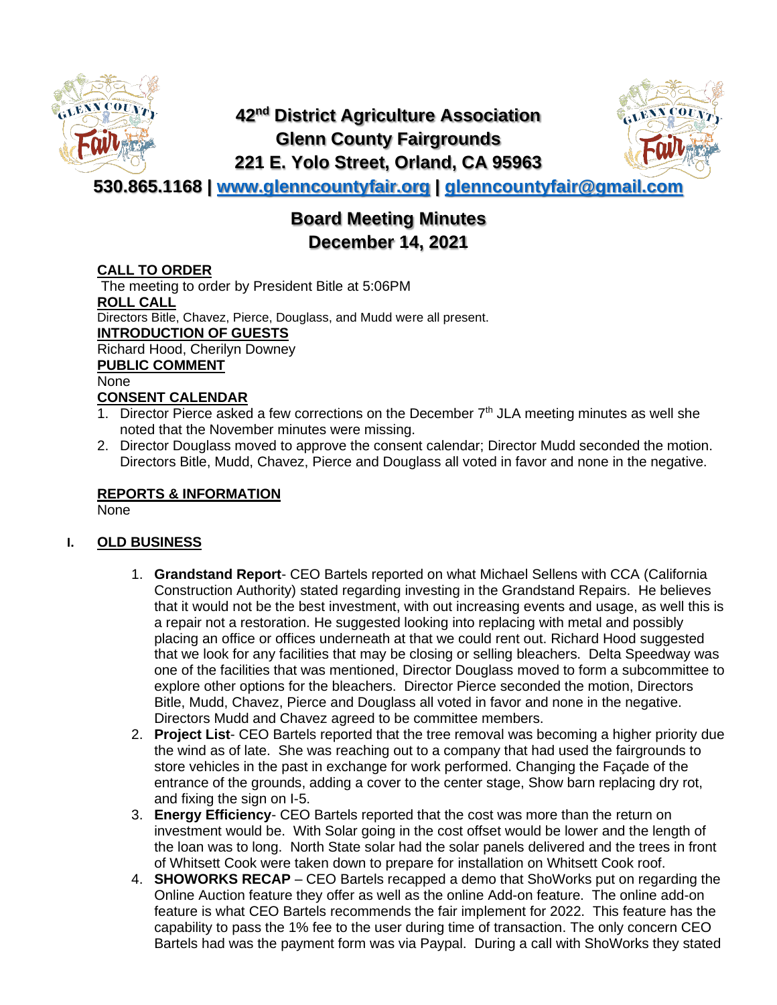

# **42nd District Agriculture Association Glenn County Fairgrounds 221 E. Yolo Street, Orland, CA 95963**



**530.865.1168 | [www.glenncountyfair.org](http://www.glenncountyfair.org/) | [glenncountyfair@gmail.com](mailto:glenncountyfair@gmail.com)**

# **Board Meeting Minutes December 14, 2021**

#### **CALL TO ORDER**

The meeting to order by President Bitle at 5:06PM **ROLL CALL** Directors Bitle, Chavez, Pierce, Douglass, and Mudd were all present. **INTRODUCTION OF GUESTS** Richard Hood, Cherilyn Downey **PUBLIC COMMENT** None **CONSENT CALENDAR**

- 1. Director Pierce asked a few corrections on the December  $7<sup>th</sup>$  JLA meeting minutes as well she noted that the November minutes were missing.
- 2. Director Douglass moved to approve the consent calendar; Director Mudd seconded the motion. Directors Bitle, Mudd, Chavez, Pierce and Douglass all voted in favor and none in the negative.

#### **REPORTS & INFORMATION**

None

### **I. OLD BUSINESS**

- 1. **Grandstand Report** CEO Bartels reported on what Michael Sellens with CCA (California Construction Authority) stated regarding investing in the Grandstand Repairs. He believes that it would not be the best investment, with out increasing events and usage, as well this is a repair not a restoration. He suggested looking into replacing with metal and possibly placing an office or offices underneath at that we could rent out. Richard Hood suggested that we look for any facilities that may be closing or selling bleachers. Delta Speedway was one of the facilities that was mentioned, Director Douglass moved to form a subcommittee to explore other options for the bleachers. Director Pierce seconded the motion, Directors Bitle, Mudd, Chavez, Pierce and Douglass all voted in favor and none in the negative. Directors Mudd and Chavez agreed to be committee members.
- 2. **Project List** CEO Bartels reported that the tree removal was becoming a higher priority due the wind as of late. She was reaching out to a company that had used the fairgrounds to store vehicles in the past in exchange for work performed. Changing the Façade of the entrance of the grounds, adding a cover to the center stage, Show barn replacing dry rot, and fixing the sign on I-5.
- 3. **Energy Efficiency** CEO Bartels reported that the cost was more than the return on investment would be. With Solar going in the cost offset would be lower and the length of the loan was to long. North State solar had the solar panels delivered and the trees in front of Whitsett Cook were taken down to prepare for installation on Whitsett Cook roof.
- 4. **SHOWORKS RECAP**  CEO Bartels recapped a demo that ShoWorks put on regarding the Online Auction feature they offer as well as the online Add-on feature. The online add-on feature is what CEO Bartels recommends the fair implement for 2022. This feature has the capability to pass the 1% fee to the user during time of transaction. The only concern CEO Bartels had was the payment form was via Paypal. During a call with ShoWorks they stated